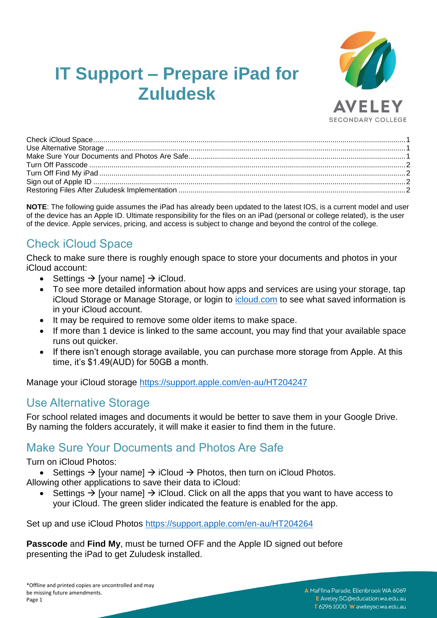

# **IT Support – Prepare iPad for Zuludesk**

**NOTE**: The following guide assumes the iPad has already been updated to the latest IOS, is a current model and user of the device has an Apple ID. Ultimate responsibility for the files on an iPad (personal or college related), is the user of the device. Apple services, pricing, and access is subject to change and beyond the control of the college.

# <span id="page-0-0"></span>Check iCloud Space

Check to make sure there is roughly enough space to store your documents and photos in your iCloud account:

- Settings  $\rightarrow$  [your name]  $\rightarrow$  iCloud.
- To see more detailed information about how apps and services are using your storage, tap iCloud Storage or Manage Storage, or login to [icloud.com](https://www.icloud.com/) to see what saved information is in your iCloud account.
- It may be required to remove some older items to make space.
- If more than 1 device is linked to the same account, you may find that your available space runs out quicker.
- If there isn't enough storage available, you can purchase more storage from Apple. At this time, it's \$1.49(AUD) for 50GB a month.

Manage your iCloud storage <https://support.apple.com/en-au/HT204247>

#### <span id="page-0-1"></span>Use Alternative Storage

For school related images and documents it would be better to save them in your Google Drive. By naming the folders accurately, it will make it easier to find them in the future.

## <span id="page-0-2"></span>Make Sure Your Documents and Photos Are Safe

Turn on iCloud Photos:

Settings  $\rightarrow$  [your name]  $\rightarrow$  iCloud  $\rightarrow$  Photos, then turn on iCloud Photos.

Allowing other applications to save their data to iCloud:

Settings  $\rightarrow$  [your name]  $\rightarrow$  iCloud. Click on all the apps that you want to have access to your iCloud. The green slider indicated the feature is enabled for the app.

Set up and use iCloud Photos<https://support.apple.com/en-au/HT204264>

**Passcode** and **Find My**, must be turned OFF and the Apple ID signed out before presenting the iPad to get Zuludesk installed.

\*Offline and printed copies are uncontrolled and may be missing future amendments. Page 1

A Maffina Parade, Ellenbrook WA 6069 E Aveley.SC@education.wa.edu.au T 6296 1000 W aveleysc.wa.edu.au